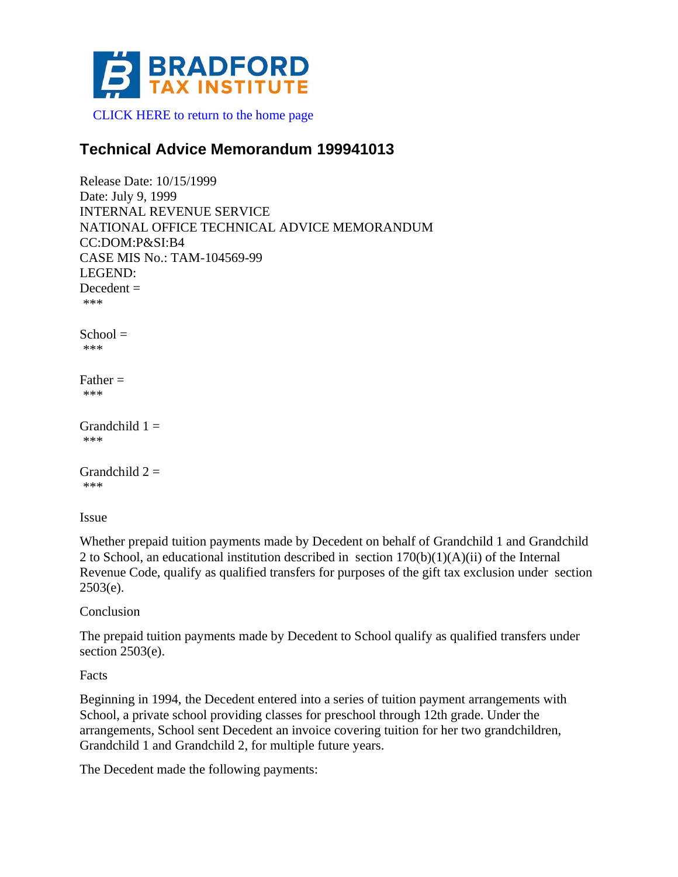

[CLICK HERE to return to the home page](http://www.bradfordtaxinstitute.com)

## **Technical Advice Memorandum 199941013**

```
Release Date: 10/15/1999
Date: July 9, 1999
INTERNAL REVENUE SERVICE
NATIONAL OFFICE TECHNICAL ADVICE MEMORANDUM
CC:DOM:P&SI:B4
CASE MIS No.: TAM-104569-99
LEGEND:
Decedent =***
School =***
Father =***
Grandchild 1 =***
Grandchild 2 =***
```
Issue

Whether prepaid tuition payments made by Decedent on behalf of Grandchild 1 and Grandchild 2 to School, an educational institution described in section  $170(b)(1)(A)(ii)$  of the Internal Revenue Code, qualify as qualified transfers for purposes of the gift tax exclusion under section  $2503(e)$ .

Conclusion

The prepaid tuition payments made by Decedent to School qualify as qualified transfers under section 2503(e).

Facts

Beginning in 1994, the Decedent entered into a series of tuition payment arrangements with School, a private school providing classes for preschool through 12th grade. Under the arrangements, School sent Decedent an invoice covering tuition for her two grandchildren, Grandchild 1 and Grandchild 2, for multiple future years.

The Decedent made the following payments: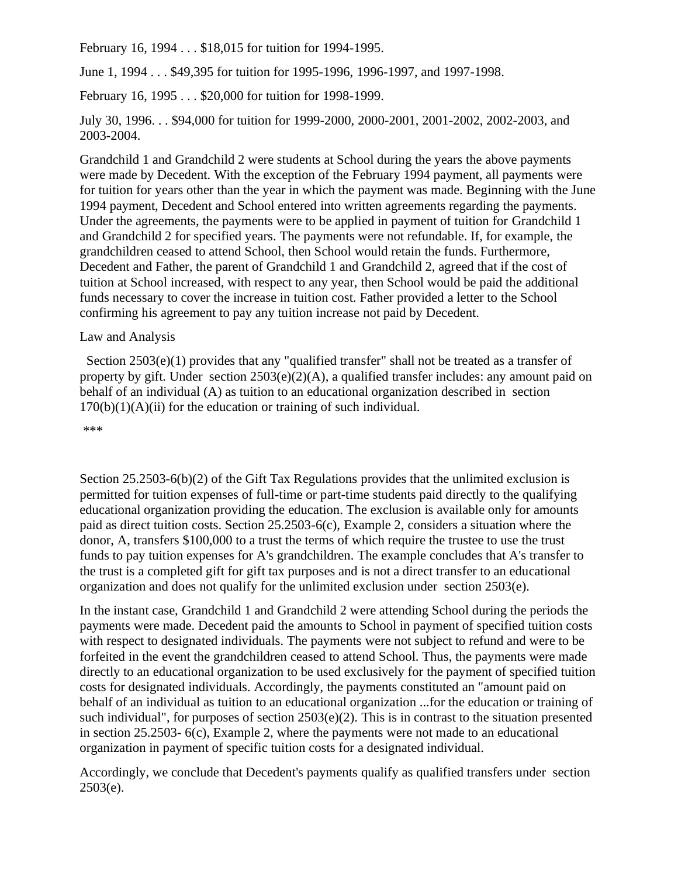February 16, 1994 . . . \$18,015 for tuition for 1994-1995.

June 1, 1994 . . . \$49,395 for tuition for 1995-1996, 1996-1997, and 1997-1998.

February 16, 1995 . . . \$20,000 for tuition for 1998-1999.

July 30, 1996. . . \$94,000 for tuition for 1999-2000, 2000-2001, 2001-2002, 2002-2003, and 2003-2004.

Grandchild 1 and Grandchild 2 were students at School during the years the above payments were made by Decedent. With the exception of the February 1994 payment, all payments were for tuition for years other than the year in which the payment was made. Beginning with the June 1994 payment, Decedent and School entered into written agreements regarding the payments. Under the agreements, the payments were to be applied in payment of tuition for Grandchild 1 and Grandchild 2 for specified years. The payments were not refundable. If, for example, the grandchildren ceased to attend School, then School would retain the funds. Furthermore, Decedent and Father, the parent of Grandchild 1 and Grandchild 2, agreed that if the cost of tuition at School increased, with respect to any year, then School would be paid the additional funds necessary to cover the increase in tuition cost. Father provided a letter to the School confirming his agreement to pay any tuition increase not paid by Decedent.

## Law and Analysis

Section 2503(e)(1) provides that any "qualified transfer" shall not be treated as a transfer of property by gift. Under section 2503(e)(2)(A), a qualified transfer includes: any amount paid on behalf of an individual (A) as tuition to an educational organization described in section  $170(b)(1)(A)(ii)$  for the education or training of such individual.

\*\*\*

Section 25.2503-6(b)(2) of the Gift Tax Regulations provides that the unlimited exclusion is permitted for tuition expenses of full-time or part-time students paid directly to the qualifying educational organization providing the education. The exclusion is available only for amounts paid as direct tuition costs. Section 25.2503-6(c), Example 2, considers a situation where the donor, A, transfers \$100,000 to a trust the terms of which require the trustee to use the trust funds to pay tuition expenses for A's grandchildren. The example concludes that A's transfer to the trust is a completed gift for gift tax purposes and is not a direct transfer to an educational organization and does not qualify for the unlimited exclusion under section 2503(e).

In the instant case, Grandchild 1 and Grandchild 2 were attending School during the periods the payments were made. Decedent paid the amounts to School in payment of specified tuition costs with respect to designated individuals. The payments were not subject to refund and were to be forfeited in the event the grandchildren ceased to attend School. Thus, the payments were made directly to an educational organization to be used exclusively for the payment of specified tuition costs for designated individuals. Accordingly, the payments constituted an "amount paid on behalf of an individual as tuition to an educational organization ...for the education or training of such individual", for purposes of section  $2503(e)(2)$ . This is in contrast to the situation presented in section 25.2503- 6(c), Example 2, where the payments were not made to an educational organization in payment of specific tuition costs for a designated individual.

Accordingly, we conclude that Decedent's payments qualify as qualified transfers under section  $2503(e)$ .